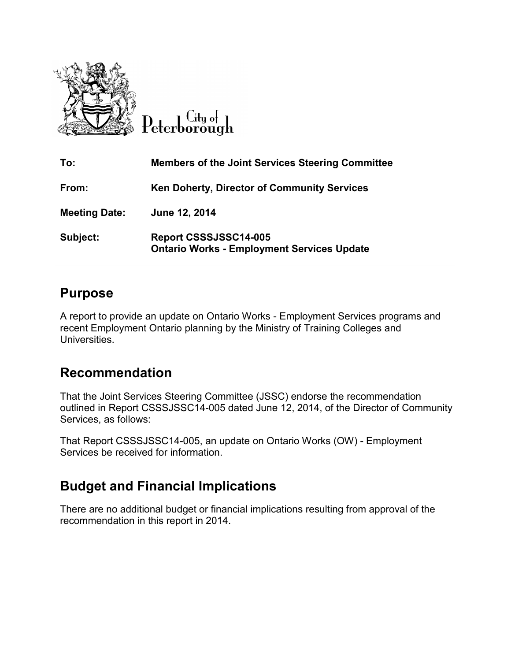

 $C$ ity of eterborough

| To:                  | <b>Members of the Joint Services Steering Committee</b>                    |
|----------------------|----------------------------------------------------------------------------|
| From:                | Ken Doherty, Director of Community Services                                |
| <b>Meeting Date:</b> | June 12, 2014                                                              |
| Subject:             | Report CSSSJSSC14-005<br><b>Ontario Works - Employment Services Update</b> |

## **Purpose**

A report to provide an update on Ontario Works - Employment Services programs and recent Employment Ontario planning by the Ministry of Training Colleges and Universities.

## **Recommendation**

That the Joint Services Steering Committee (JSSC) endorse the recommendation outlined in Report CSSSJSSC14-005 dated June 12, 2014, of the Director of Community Services, as follows:

That Report CSSSJSSC14-005, an update on Ontario Works (OW) - Employment Services be received for information.

## **Budget and Financial Implications**

There are no additional budget or financial implications resulting from approval of the recommendation in this report in 2014.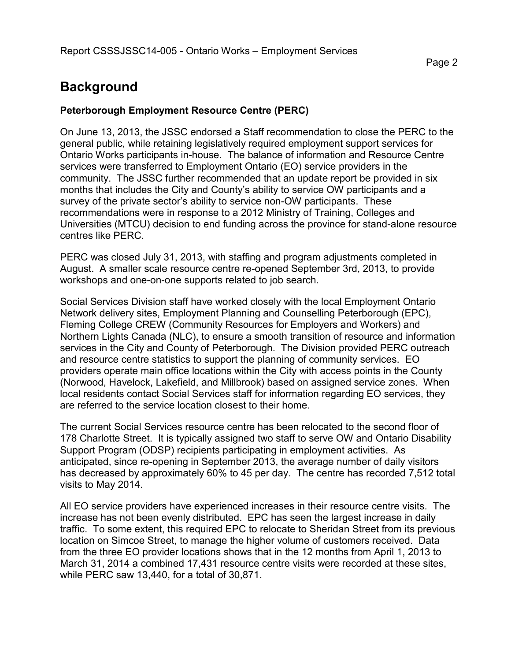# **Background**

#### **Peterborough Employment Resource Centre (PERC)**

On June 13, 2013, the JSSC endorsed a Staff recommendation to close the PERC to the general public, while retaining legislatively required employment support services for Ontario Works participants in-house. The balance of information and Resource Centre services were transferred to Employment Ontario (EO) service providers in the community. The JSSC further recommended that an update report be provided in six months that includes the City and County's ability to service OW participants and a survey of the private sector's ability to service non-OW participants. These recommendations were in response to a 2012 Ministry of Training, Colleges and Universities (MTCU) decision to end funding across the province for stand-alone resource centres like PERC.

PERC was closed July 31, 2013, with staffing and program adjustments completed in August. A smaller scale resource centre re-opened September 3rd, 2013, to provide workshops and one-on-one supports related to job search.

Social Services Division staff have worked closely with the local Employment Ontario Network delivery sites, Employment Planning and Counselling Peterborough (EPC), Fleming College CREW (Community Resources for Employers and Workers) and Northern Lights Canada (NLC), to ensure a smooth transition of resource and information services in the City and County of Peterborough. The Division provided PERC outreach and resource centre statistics to support the planning of community services. EO providers operate main office locations within the City with access points in the County (Norwood, Havelock, Lakefield, and Millbrook) based on assigned service zones. When local residents contact Social Services staff for information regarding EO services, they are referred to the service location closest to their home.

The current Social Services resource centre has been relocated to the second floor of 178 Charlotte Street. It is typically assigned two staff to serve OW and Ontario Disability Support Program (ODSP) recipients participating in employment activities. As anticipated, since re-opening in September 2013, the average number of daily visitors has decreased by approximately 60% to 45 per day. The centre has recorded 7,512 total visits to May 2014.

All EO service providers have experienced increases in their resource centre visits. The increase has not been evenly distributed. EPC has seen the largest increase in daily traffic. To some extent, this required EPC to relocate to Sheridan Street from its previous location on Simcoe Street, to manage the higher volume of customers received. Data from the three EO provider locations shows that in the 12 months from April 1, 2013 to March 31, 2014 a combined 17,431 resource centre visits were recorded at these sites, while PERC saw 13,440, for a total of 30,871.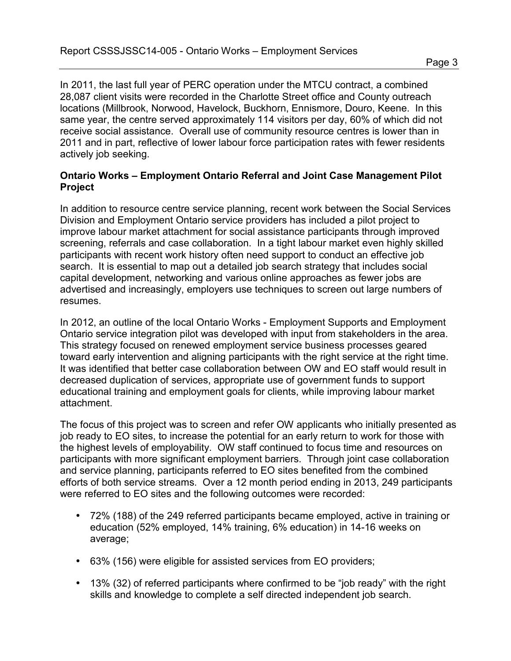In 2011, the last full year of PERC operation under the MTCU contract, a combined 28,087 client visits were recorded in the Charlotte Street office and County outreach locations (Millbrook, Norwood, Havelock, Buckhorn, Ennismore, Douro, Keene. In this same year, the centre served approximately 114 visitors per day, 60% of which did not receive social assistance. Overall use of community resource centres is lower than in 2011 and in part, reflective of lower labour force participation rates with fewer residents actively job seeking.

#### **Ontario Works – Employment Ontario Referral and Joint Case Management Pilot Project**

In addition to resource centre service planning, recent work between the Social Services Division and Employment Ontario service providers has included a pilot project to improve labour market attachment for social assistance participants through improved screening, referrals and case collaboration. In a tight labour market even highly skilled participants with recent work history often need support to conduct an effective job search. It is essential to map out a detailed job search strategy that includes social capital development, networking and various online approaches as fewer jobs are advertised and increasingly, employers use techniques to screen out large numbers of resumes.

In 2012, an outline of the local Ontario Works - Employment Supports and Employment Ontario service integration pilot was developed with input from stakeholders in the area. This strategy focused on renewed employment service business processes geared toward early intervention and aligning participants with the right service at the right time. It was identified that better case collaboration between OW and EO staff would result in decreased duplication of services, appropriate use of government funds to support educational training and employment goals for clients, while improving labour market attachment.

The focus of this project was to screen and refer OW applicants who initially presented as job ready to EO sites, to increase the potential for an early return to work for those with the highest levels of employability. OW staff continued to focus time and resources on participants with more significant employment barriers. Through joint case collaboration and service planning, participants referred to EO sites benefited from the combined efforts of both service streams. Over a 12 month period ending in 2013, 249 participants were referred to EO sites and the following outcomes were recorded:

- 72% (188) of the 249 referred participants became employed, active in training or education (52% employed, 14% training, 6% education) in 14-16 weeks on average;
- 63% (156) were eligible for assisted services from EO providers;
- 13% (32) of referred participants where confirmed to be "job ready" with the right skills and knowledge to complete a self directed independent job search.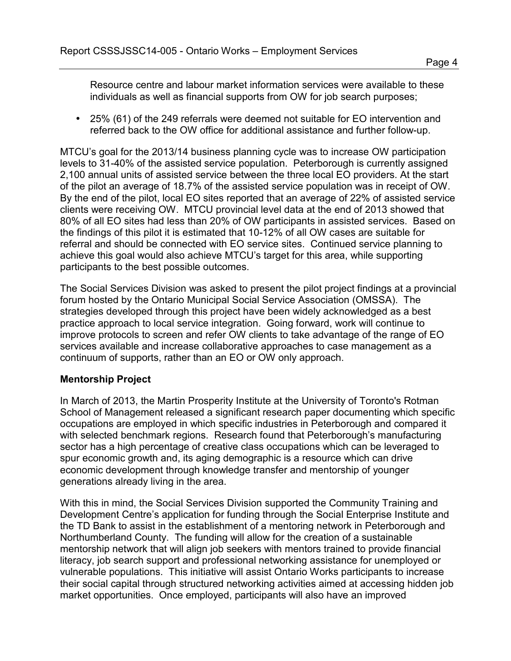Resource centre and labour market information services were available to these individuals as well as financial supports from OW for job search purposes;

• 25% (61) of the 249 referrals were deemed not suitable for EO intervention and referred back to the OW office for additional assistance and further follow-up.

MTCU's goal for the 2013/14 business planning cycle was to increase OW participation levels to 31-40% of the assisted service population. Peterborough is currently assigned 2,100 annual units of assisted service between the three local EO providers. At the start of the pilot an average of 18.7% of the assisted service population was in receipt of OW. By the end of the pilot, local EO sites reported that an average of 22% of assisted service clients were receiving OW. MTCU provincial level data at the end of 2013 showed that 80% of all EO sites had less than 20% of OW participants in assisted services. Based on the findings of this pilot it is estimated that 10-12% of all OW cases are suitable for referral and should be connected with EO service sites. Continued service planning to achieve this goal would also achieve MTCU's target for this area, while supporting participants to the best possible outcomes.

The Social Services Division was asked to present the pilot project findings at a provincial forum hosted by the Ontario Municipal Social Service Association (OMSSA). The strategies developed through this project have been widely acknowledged as a best practice approach to local service integration. Going forward, work will continue to improve protocols to screen and refer OW clients to take advantage of the range of EO services available and increase collaborative approaches to case management as a continuum of supports, rather than an EO or OW only approach.

#### **Mentorship Project**

In March of 2013, the Martin Prosperity Institute at the University of Toronto's Rotman School of Management released a significant research paper documenting which specific occupations are employed in which specific industries in Peterborough and compared it with selected benchmark regions. Research found that Peterborough's manufacturing sector has a high percentage of creative class occupations which can be leveraged to spur economic growth and, its aging demographic is a resource which can drive economic development through knowledge transfer and mentorship of younger generations already living in the area.

With this in mind, the Social Services Division supported the Community Training and Development Centre's application for funding through the Social Enterprise Institute and the TD Bank to assist in the establishment of a mentoring network in Peterborough and Northumberland County. The funding will allow for the creation of a sustainable mentorship network that will align job seekers with mentors trained to provide financial literacy, job search support and professional networking assistance for unemployed or vulnerable populations. This initiative will assist Ontario Works participants to increase their social capital through structured networking activities aimed at accessing hidden job market opportunities. Once employed, participants will also have an improved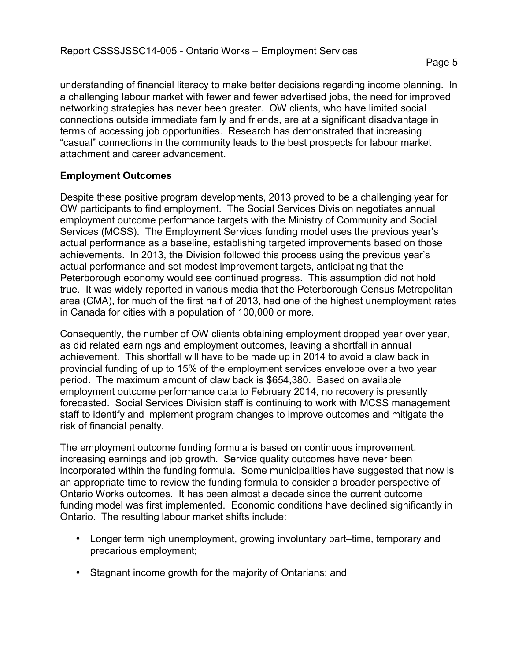understanding of financial literacy to make better decisions regarding income planning. In a challenging labour market with fewer and fewer advertised jobs, the need for improved networking strategies has never been greater. OW clients, who have limited social connections outside immediate family and friends, are at a significant disadvantage in terms of accessing job opportunities. Research has demonstrated that increasing "casual" connections in the community leads to the best prospects for labour market attachment and career advancement.

#### **Employment Outcomes**

Despite these positive program developments, 2013 proved to be a challenging year for OW participants to find employment. The Social Services Division negotiates annual employment outcome performance targets with the Ministry of Community and Social Services (MCSS). The Employment Services funding model uses the previous year's actual performance as a baseline, establishing targeted improvements based on those achievements. In 2013, the Division followed this process using the previous year's actual performance and set modest improvement targets, anticipating that the Peterborough economy would see continued progress. This assumption did not hold true. It was widely reported in various media that the Peterborough Census Metropolitan area (CMA), for much of the first half of 2013, had one of the highest unemployment rates in Canada for cities with a population of 100,000 or more.

Consequently, the number of OW clients obtaining employment dropped year over year, as did related earnings and employment outcomes, leaving a shortfall in annual achievement. This shortfall will have to be made up in 2014 to avoid a claw back in provincial funding of up to 15% of the employment services envelope over a two year period. The maximum amount of claw back is \$654,380. Based on available employment outcome performance data to February 2014, no recovery is presently forecasted. Social Services Division staff is continuing to work with MCSS management staff to identify and implement program changes to improve outcomes and mitigate the risk of financial penalty.

The employment outcome funding formula is based on continuous improvement, increasing earnings and job growth. Service quality outcomes have never been incorporated within the funding formula. Some municipalities have suggested that now is an appropriate time to review the funding formula to consider a broader perspective of Ontario Works outcomes. It has been almost a decade since the current outcome funding model was first implemented. Economic conditions have declined significantly in Ontario. The resulting labour market shifts include:

- Longer term high unemployment, growing involuntary part–time, temporary and precarious employment;
- Stagnant income growth for the majority of Ontarians; and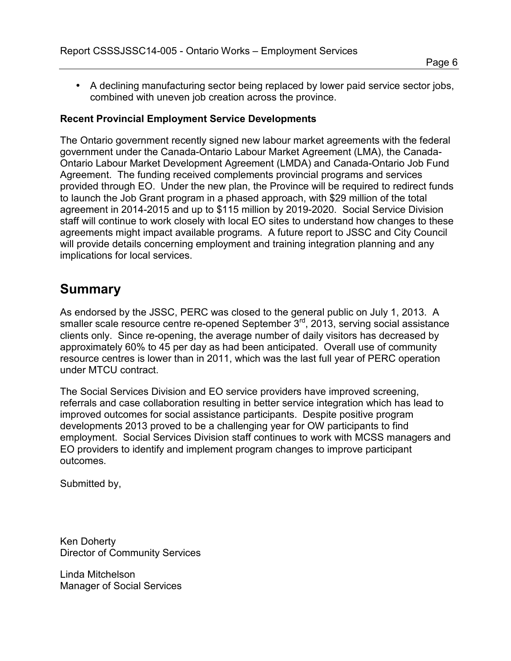• A declining manufacturing sector being replaced by lower paid service sector jobs, combined with uneven job creation across the province.

#### **Recent Provincial Employment Service Developments**

The Ontario government recently signed new labour market agreements with the federal government under the Canada-Ontario Labour Market Agreement (LMA), the Canada-Ontario Labour Market Development Agreement (LMDA) and Canada-Ontario Job Fund Agreement. The funding received complements provincial programs and services provided through EO. Under the new plan, the Province will be required to redirect funds to launch the Job Grant program in a phased approach, with \$29 million of the total agreement in 2014-2015 and up to \$115 million by 2019-2020. Social Service Division staff will continue to work closely with local EO sites to understand how changes to these agreements might impact available programs. A future report to JSSC and City Council will provide details concerning employment and training integration planning and any implications for local services.

### **Summary**

As endorsed by the JSSC, PERC was closed to the general public on July 1, 2013. A smaller scale resource centre re-opened September 3<sup>rd</sup>, 2013, serving social assistance clients only. Since re-opening, the average number of daily visitors has decreased by approximately 60% to 45 per day as had been anticipated. Overall use of community resource centres is lower than in 2011, which was the last full year of PERC operation under MTCU contract.

The Social Services Division and EO service providers have improved screening, referrals and case collaboration resulting in better service integration which has lead to improved outcomes for social assistance participants. Despite positive program developments 2013 proved to be a challenging year for OW participants to find employment. Social Services Division staff continues to work with MCSS managers and EO providers to identify and implement program changes to improve participant outcomes.

Submitted by,

Ken Doherty Director of Community Services

Linda Mitchelson Manager of Social Services